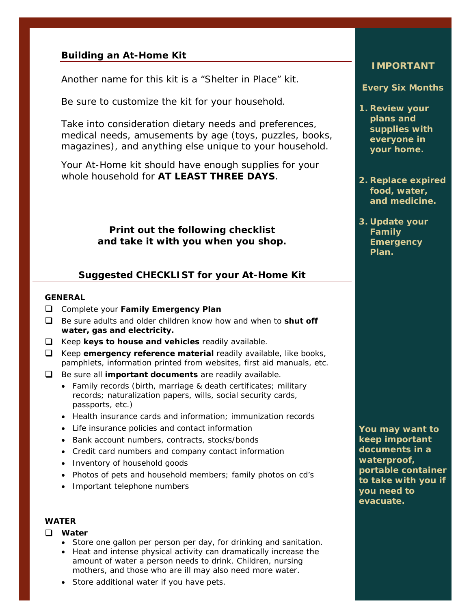## **Building an At-Home Kit**

Another name for this kit is a "Shelter in Place" kit.

Be sure to customize the kit for your household.

Take into consideration dietary needs and preferences, medical needs, amusements by age (toys, puzzles, books, magazines), and anything else unique to your household.

Your At-Home kit should have enough supplies for your whole household for **AT LEAST THREE DAYS**.

> **Print out the following checklist and take it with you when you shop.**

# **Suggested CHECKLIST for your At-Home Kit**

## **GENERAL**

- Complete your **Family Emergency Plan**
- Be sure adults and older children know how and when to **shut off water, gas and electricity.**
- Keep **keys to house and vehicles** readily available.
- Keep **emergency reference material** readily available, like books, pamphlets, information printed from websites, first aid manuals, etc.
- Be sure all **important documents** are readily available.
	- Family records (birth, marriage & death certificates; military records; naturalization papers, wills, social security cards, passports, etc.)
	- Health insurance cards and information; immunization records
	- Life insurance policies and contact information
	- Bank account numbers, contracts, stocks/bonds
	- Credit card numbers and company contact information
	- Inventory of household goods
	- Photos of pets and household members; family photos on cd's
	- Important telephone numbers

### **WATER**

#### **Water**

- Store one gallon per person per day, for drinking and sanitation.
- Heat and intense physical activity can dramatically increase the amount of water a person needs to drink. Children, nursing mothers, and those who are ill may also need more water.
- Store additional water if you have pets.

# **IMPORTANT**

#### **Every Six Months**

- **1. Review your plans and supplies with everyone in your home.**
- **2. Replace expired food, water, and medicine.**
- **3. Update your Family Emergency Plan.**

**You may want to keep important documents in a waterproof, portable container to take with you if you need to evacuate.**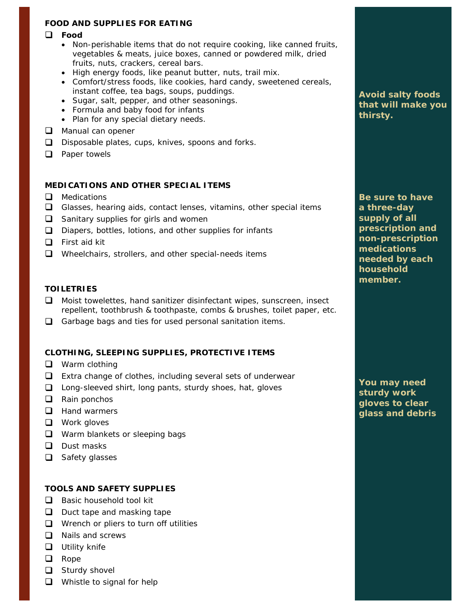## **FOOD AND SUPPLIES FOR EATING**

#### **Food**

- Non-perishable items that do not require cooking, like canned fruits, vegetables & meats, juice boxes, canned or powdered milk, dried fruits, nuts, crackers, cereal bars.
- High energy foods, like peanut butter, nuts, trail mix.
- Comfort/stress foods, like cookies, hard candy, sweetened cereals, instant coffee, tea bags, soups, puddings.
- Sugar, salt, pepper, and other seasonings.
- Formula and baby food for infants
- Plan for any special dietary needs.
- Manual can opener
- $\Box$  Disposable plates, cups, knives, spoons and forks.
- $\Box$  Paper towels

#### **MEDICATIONS AND OTHER SPECIAL ITEMS**

- **Q** Medications
- $\Box$  Glasses, hearing aids, contact lenses, vitamins, other special items
- $\Box$  Sanitary supplies for girls and women
- $\Box$  Diapers, bottles, lotions, and other supplies for infants
- $\Box$  First aid kit
- $\Box$  Wheelchairs, strollers, and other special-needs items

#### **TOILETRIES**

- □ Moist towelettes, hand sanitizer disinfectant wipes, sunscreen, insect repellent, toothbrush & toothpaste, combs & brushes, toilet paper, etc.
- Garbage bags and ties for used personal sanitation items.

## **CLOTHING, SLEEPING SUPPLIES, PROTECTIVE ITEMS**

- **Q** Warm clothing
- $\Box$  Extra change of clothes, including several sets of underwear
- $\Box$  Long-sleeved shirt, long pants, sturdy shoes, hat, gloves
- $\Box$  Rain ponchos
- **Hand warmers**
- **Q** Work gloves
- Warm blankets or sleeping bags
- **Dust masks**
- $\Box$  Safety glasses

## **TOOLS AND SAFETY SUPPLIES**

- $\Box$  Basic household tool kit
- $\Box$  Duct tape and masking tape
- $\Box$  Wrench or pliers to turn off utilities
- $\Box$  Nails and screws
- **Utility knife**
- **Q** Rope
- $\Box$  Sturdy shovel
- $\Box$  Whistle to signal for help

**Avoid salty foods that will make you thirsty.** 

**Be sure to have a three-day supply of all prescription and non-prescription medications needed by each household member.** 

**You may need sturdy work gloves to clear glass and debris**